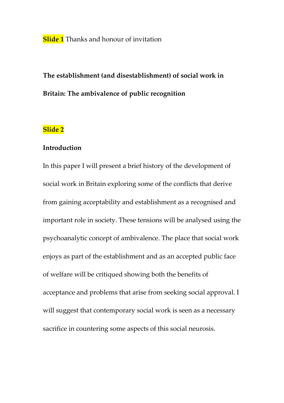**Slide 1** Thanks and honour of invitation

# **The establishment (and disestablishment) of social work in Britain: The ambivalence of public recognition**

## **Slide 2**

#### **Introduction**

In this paper I will present a brief history of the development of social work in Britain exploring some of the conflicts that derive from gaining acceptability and establishment as a recognised and important role in society. These tensions will be analysed using the psychoanalytic concept of ambivalence. The place that social work enjoys as part of the establishment and as an accepted public face of welfare will be critiqued showing both the benefits of acceptance and problems that arise from seeking social approval. I will suggest that contemporary social work is seen as a necessary sacrifice in countering some aspects of this social neurosis.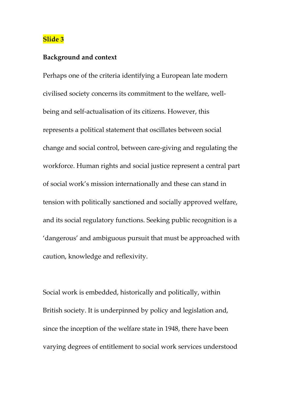#### **Background and context**

Perhaps one of the criteria identifying a European late modern civilised society concerns its commitment to the welfare, wellbeing and self-actualisation of its citizens. However, this represents a political statement that oscillates between social change and social control, between care-giving and regulating the workforce. Human rights and social justice represent a central part of social work's mission internationally and these can stand in tension with politically sanctioned and socially approved welfare, and its social regulatory functions. Seeking public recognition is a 'dangerous' and ambiguous pursuit that must be approached with caution, knowledge and reflexivity.

Social work is embedded, historically and politically, within British society. It is underpinned by policy and legislation and, since the inception of the welfare state in 1948, there have been varying degrees of entitlement to social work services understood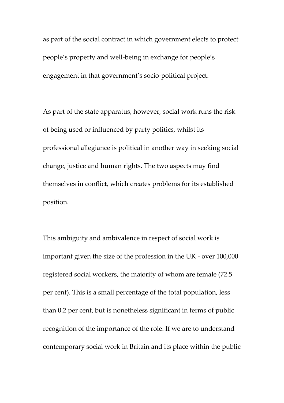as part of the social contract in which government elects to protect people's property and well-being in exchange for people's engagement in that government's socio-political project.

As part of the state apparatus, however, social work runs the risk of being used or influenced by party politics, whilst its professional allegiance is political in another way in seeking social change, justice and human rights. The two aspects may find themselves in conflict, which creates problems for its established position.

This ambiguity and ambivalence in respect of social work is important given the size of the profession in the UK - over 100,000 registered social workers, the majority of whom are female (72.5 per cent). This is a small percentage of the total population, less than 0.2 per cent, but is nonetheless significant in terms of public recognition of the importance of the role. If we are to understand contemporary social work in Britain and its place within the public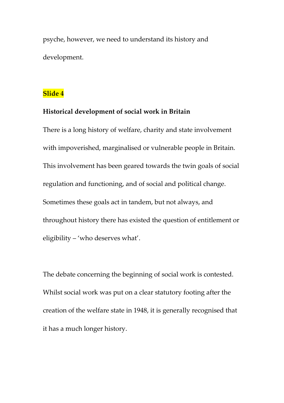psyche, however, we need to understand its history and development.

## **Slide 4**

### **Historical development of social work in Britain**

There is a long history of welfare, charity and state involvement with impoverished, marginalised or vulnerable people in Britain. This involvement has been geared towards the twin goals of social regulation and functioning, and of social and political change. Sometimes these goals act in tandem, but not always, and throughout history there has existed the question of entitlement or eligibility – 'who deserves what'.

The debate concerning the beginning of social work is contested. Whilst social work was put on a clear statutory footing after the creation of the welfare state in 1948, it is generally recognised that it has a much longer history.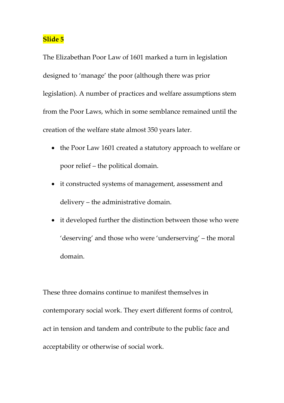The Elizabethan Poor Law of 1601 marked a turn in legislation designed to 'manage' the poor (although there was prior legislation). A number of practices and welfare assumptions stem from the Poor Laws, which in some semblance remained until the creation of the welfare state almost 350 years later.

- the Poor Law 1601 created a statutory approach to welfare or poor relief – the political domain.
- it constructed systems of management, assessment and delivery – the administrative domain.
- it developed further the distinction between those who were 'deserving' and those who were 'underserving' – the moral domain.

These three domains continue to manifest themselves in contemporary social work. They exert different forms of control, act in tension and tandem and contribute to the public face and acceptability or otherwise of social work.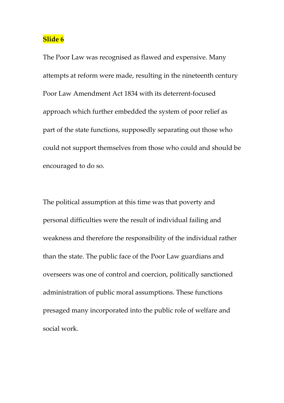The Poor Law was recognised as flawed and expensive. Many attempts at reform were made, resulting in the nineteenth century Poor Law Amendment Act 1834 with its deterrent-focused approach which further embedded the system of poor relief as part of the state functions, supposedly separating out those who could not support themselves from those who could and should be encouraged to do so.

The political assumption at this time was that poverty and personal difficulties were the result of individual failing and weakness and therefore the responsibility of the individual rather than the state. The public face of the Poor Law guardians and overseers was one of control and coercion, politically sanctioned administration of public moral assumptions. These functions presaged many incorporated into the public role of welfare and social work.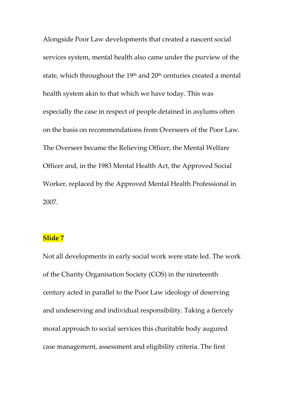Alongside Poor Law developments that created a nascent social services system, mental health also came under the purview of the state, which throughout the 19<sup>th</sup> and 20<sup>th</sup> centuries created a mental health system akin to that which we have today. This was especially the case in respect of people detained in asylums often on the basis on recommendations from Overseers of the Poor Law. The Overseer became the Relieving Officer, the Mental Welfare Officer and, in the 1983 Mental Health Act, the Approved Social Worker, replaced by the Approved Mental Health Professional in 2007.

## **Slide 7**

Not all developments in early social work were state led. The work of the Charity Organisation Society (COS) in the nineteenth century acted in parallel to the Poor Law ideology of deserving and undeserving and individual responsibility. Taking a fiercely moral approach to social services this charitable body augured case management, assessment and eligibility criteria. The first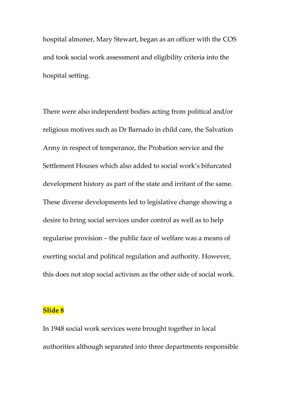hospital almoner, Mary Stewart, began as an officer with the COS and took social work assessment and eligibility criteria into the hospital setting.

There were also independent bodies acting from political and/or religious motives such as Dr Barnado in child care, the Salvation Army in respect of temperance, the Probation service and the Settlement Houses which also added to social work's bifurcated development history as part of the state and irritant of the same. These diverse developments led to legislative change showing a desire to bring social services under control as well as to help regularise provision – the public face of welfare was a means of exerting social and political regulation and authority. However, this does not stop social activism as the other side of social work.

#### **Slide 8**

In 1948 social work services were brought together in local authorities although separated into three departments responsible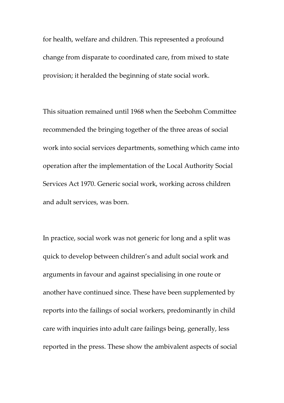for health, welfare and children. This represented a profound change from disparate to coordinated care, from mixed to state provision; it heralded the beginning of state social work.

This situation remained until 1968 when the Seebohm Committee recommended the bringing together of the three areas of social work into social services departments, something which came into operation after the implementation of the Local Authority Social Services Act 1970. Generic social work, working across children and adult services, was born.

In practice, social work was not generic for long and a split was quick to develop between children's and adult social work and arguments in favour and against specialising in one route or another have continued since. These have been supplemented by reports into the failings of social workers, predominantly in child care with inquiries into adult care failings being, generally, less reported in the press. These show the ambivalent aspects of social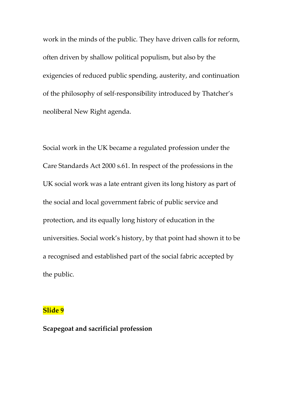work in the minds of the public. They have driven calls for reform, often driven by shallow political populism, but also by the exigencies of reduced public spending, austerity, and continuation of the philosophy of self-responsibility introduced by Thatcher's neoliberal New Right agenda.

Social work in the UK became a regulated profession under the Care Standards Act 2000 s.61. In respect of the professions in the UK social work was a late entrant given its long history as part of the social and local government fabric of public service and protection, and its equally long history of education in the universities. Social work's history, by that point had shown it to be a recognised and established part of the social fabric accepted by the public.

#### **Slide 9**

#### **Scapegoat and sacrificial profession**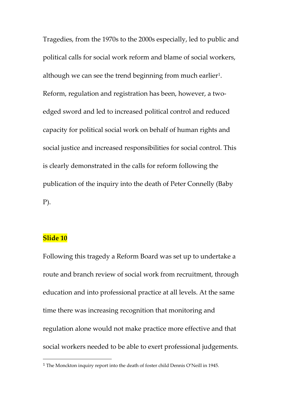Tragedies, from the 1970s to the 2000s especially, led to public and political calls for social work reform and blame of social workers, although we can see the trend beginning from much earlier<sup>1</sup>. Reform, regulation and registration has been, however, a twoedged sword and led to increased political control and reduced capacity for political social work on behalf of human rights and social justice and increased responsibilities for social control. This is clearly demonstrated in the calls for reform following the publication of the inquiry into the death of Peter Connelly (Baby P).

#### **Slide 10**

Following this tragedy a Reform Board was set up to undertake a route and branch review of social work from recruitment, through education and into professional practice at all levels. At the same time there was increasing recognition that monitoring and regulation alone would not make practice more effective and that social workers needed to be able to exert professional judgements.

<span id="page-10-0"></span> <sup>1</sup> The Monckton inquiry report into the death of foster child Dennis O'Neill in 1945.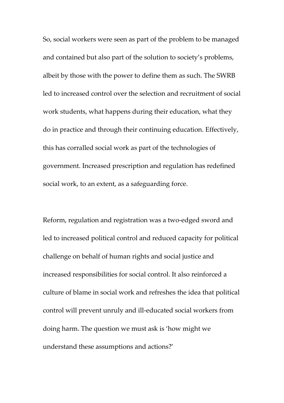So, social workers were seen as part of the problem to be managed and contained but also part of the solution to society's problems, albeit by those with the power to define them as such. The SWRB led to increased control over the selection and recruitment of social work students, what happens during their education, what they do in practice and through their continuing education. Effectively, this has corralled social work as part of the technologies of government. Increased prescription and regulation has redefined social work, to an extent, as a safeguarding force.

Reform, regulation and registration was a two-edged sword and led to increased political control and reduced capacity for political challenge on behalf of human rights and social justice and increased responsibilities for social control. It also reinforced a culture of blame in social work and refreshes the idea that political control will prevent unruly and ill-educated social workers from doing harm. The question we must ask is 'how might we understand these assumptions and actions?'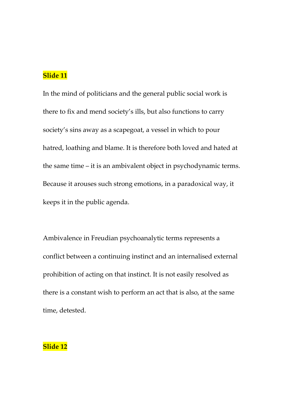In the mind of politicians and the general public social work is there to fix and mend society's ills, but also functions to carry society's sins away as a scapegoat, a vessel in which to pour hatred, loathing and blame. It is therefore both loved and hated at the same time – it is an ambivalent object in psychodynamic terms. Because it arouses such strong emotions, in a paradoxical way, it keeps it in the public agenda.

Ambivalence in Freudian psychoanalytic terms represents a conflict between a continuing instinct and an internalised external prohibition of acting on that instinct. It is not easily resolved as there is a constant wish to perform an act that is also, at the same time, detested.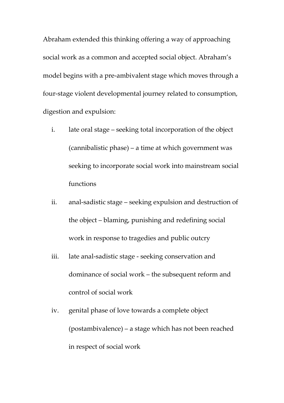Abraham extended this thinking offering a way of approaching social work as a common and accepted social object. Abraham's model begins with a pre-ambivalent stage which moves through a four-stage violent developmental journey related to consumption, digestion and expulsion:

- i. late oral stage seeking total incorporation of the object (cannibalistic phase) – a time at which government was seeking to incorporate social work into mainstream social functions
- ii. anal-sadistic stage seeking expulsion and destruction of the object – blaming, punishing and redefining social work in response to tragedies and public outcry
- iii. late anal-sadistic stage seeking conservation and dominance of social work – the subsequent reform and control of social work
- iv. genital phase of love towards a complete object (postambivalence) – a stage which has not been reached in respect of social work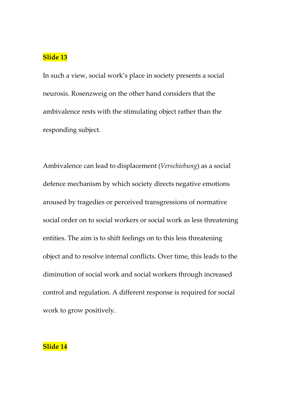In such a view, social work's place in society presents a social neurosis. Rosenzweig on the other hand considers that the ambivalence rests with the stimulating object rather than the responding subject.

Ambivalence can lead to displacement (*Verschiebung*) as a social defence mechanism by which society directs negative emotions aroused by tragedies or perceived transgressions of normative social order on to social workers or social work as less threatening entities. The aim is to shift feelings on to this less threatening object and to resolve internal conflicts. Over time, this leads to the diminution of social work and social workers through increased control and regulation. A different response is required for social work to grow positively.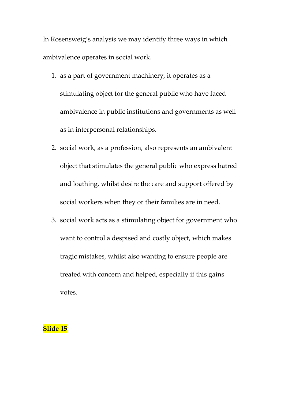In Rosensweig's analysis we may identify three ways in which ambivalence operates in social work.

- 1. as a part of government machinery, it operates as a stimulating object for the general public who have faced ambivalence in public institutions and governments as well as in interpersonal relationships.
- 2. social work, as a profession, also represents an ambivalent object that stimulates the general public who express hatred and loathing, whilst desire the care and support offered by social workers when they or their families are in need.
- 3. social work acts as a stimulating object for government who want to control a despised and costly object, which makes tragic mistakes, whilst also wanting to ensure people are treated with concern and helped, especially if this gains votes.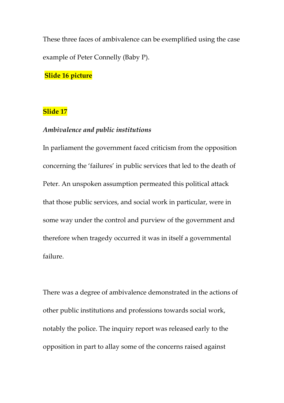These three faces of ambivalence can be exemplified using the case example of Peter Connelly (Baby P).

**Slide 16 picture**

#### **Slide 17**

#### *Ambivalence and public institutions*

In parliament the government faced criticism from the opposition concerning the 'failures' in public services that led to the death of Peter. An unspoken assumption permeated this political attack that those public services, and social work in particular, were in some way under the control and purview of the government and therefore when tragedy occurred it was in itself a governmental failure.

There was a degree of ambivalence demonstrated in the actions of other public institutions and professions towards social work, notably the police. The inquiry report was released early to the opposition in part to allay some of the concerns raised against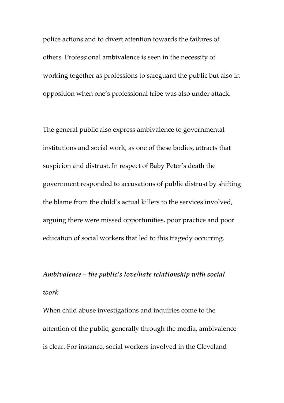police actions and to divert attention towards the failures of others. Professional ambivalence is seen in the necessity of working together as professions to safeguard the public but also in opposition when one's professional tribe was also under attack.

The general public also express ambivalence to governmental institutions and social work, as one of these bodies, attracts that suspicion and distrust. In respect of Baby Peter's death the government responded to accusations of public distrust by shifting the blame from the child's actual killers to the services involved, arguing there were missed opportunities, poor practice and poor education of social workers that led to this tragedy occurring.

## *Ambivalence – the public's love/hate relationship with social work*

When child abuse investigations and inquiries come to the attention of the public, generally through the media, ambivalence is clear. For instance, social workers involved in the Cleveland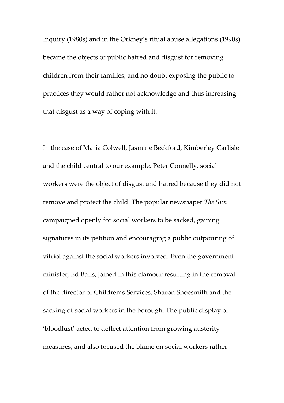Inquiry (1980s) and in the Orkney's ritual abuse allegations (1990s) became the objects of public hatred and disgust for removing children from their families, and no doubt exposing the public to practices they would rather not acknowledge and thus increasing that disgust as a way of coping with it.

In the case of Maria Colwell, Jasmine Beckford, Kimberley Carlisle and the child central to our example, Peter Connelly, social workers were the object of disgust and hatred because they did not remove and protect the child. The popular newspaper *The Sun* campaigned openly for social workers to be sacked, gaining signatures in its petition and encouraging a public outpouring of vitriol against the social workers involved. Even the government minister, Ed Balls, joined in this clamour resulting in the removal of the director of Children's Services, Sharon Shoesmith and the sacking of social workers in the borough. The public display of 'bloodlust' acted to deflect attention from growing austerity measures, and also focused the blame on social workers rather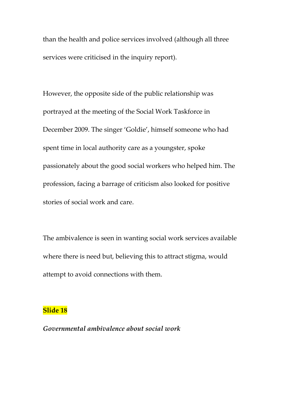than the health and police services involved (although all three services were criticised in the inquiry report).

However, the opposite side of the public relationship was portrayed at the meeting of the Social Work Taskforce in December 2009. The singer 'Goldie', himself someone who had spent time in local authority care as a youngster, spoke passionately about the good social workers who helped him. The profession, facing a barrage of criticism also looked for positive stories of social work and care.

The ambivalence is seen in wanting social work services available where there is need but, believing this to attract stigma, would attempt to avoid connections with them.

### **Slide 18**

*Governmental ambivalence about social work*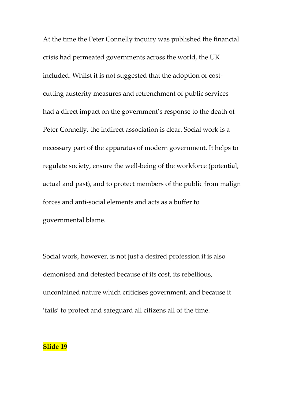At the time the Peter Connelly inquiry was published the financial crisis had permeated governments across the world, the UK included. Whilst it is not suggested that the adoption of costcutting austerity measures and retrenchment of public services had a direct impact on the government's response to the death of Peter Connelly, the indirect association is clear. Social work is a necessary part of the apparatus of modern government. It helps to regulate society, ensure the well-being of the workforce (potential, actual and past), and to protect members of the public from malign forces and anti-social elements and acts as a buffer to governmental blame.

Social work, however, is not just a desired profession it is also demonised and detested because of its cost, its rebellious, uncontained nature which criticises government, and because it 'fails' to protect and safeguard all citizens all of the time.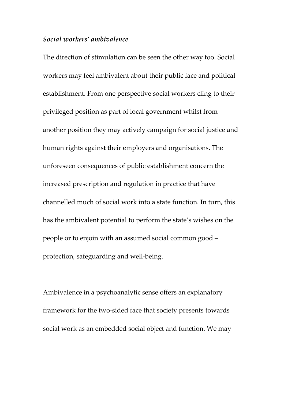#### *Social workers' ambivalence*

The direction of stimulation can be seen the other way too. Social workers may feel ambivalent about their public face and political establishment. From one perspective social workers cling to their privileged position as part of local government whilst from another position they may actively campaign for social justice and human rights against their employers and organisations. The unforeseen consequences of public establishment concern the increased prescription and regulation in practice that have channelled much of social work into a state function. In turn, this has the ambivalent potential to perform the state's wishes on the people or to enjoin with an assumed social common good – protection, safeguarding and well-being.

Ambivalence in a psychoanalytic sense offers an explanatory framework for the two-sided face that society presents towards social work as an embedded social object and function. We may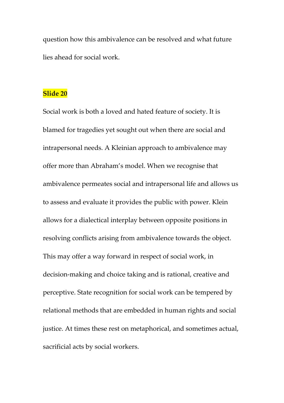question how this ambivalence can be resolved and what future lies ahead for social work.

#### **Slide 20**

Social work is both a loved and hated feature of society. It is blamed for tragedies yet sought out when there are social and intrapersonal needs. A Kleinian approach to ambivalence may offer more than Abraham's model. When we recognise that ambivalence permeates social and intrapersonal life and allows us to assess and evaluate it provides the public with power. Klein allows for a dialectical interplay between opposite positions in resolving conflicts arising from ambivalence towards the object. This may offer a way forward in respect of social work, in decision-making and choice taking and is rational, creative and perceptive. State recognition for social work can be tempered by relational methods that are embedded in human rights and social justice. At times these rest on metaphorical, and sometimes actual, sacrificial acts by social workers.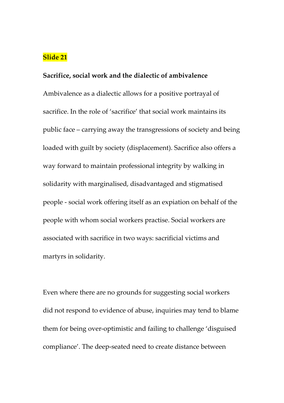#### **Sacrifice, social work and the dialectic of ambivalence**

Ambivalence as a dialectic allows for a positive portrayal of sacrifice. In the role of 'sacrifice' that social work maintains its public face – carrying away the transgressions of society and being loaded with guilt by society (displacement). Sacrifice also offers a way forward to maintain professional integrity by walking in solidarity with marginalised, disadvantaged and stigmatised people - social work offering itself as an expiation on behalf of the people with whom social workers practise. Social workers are associated with sacrifice in two ways: sacrificial victims and martyrs in solidarity.

Even where there are no grounds for suggesting social workers did not respond to evidence of abuse, inquiries may tend to blame them for being over-optimistic and failing to challenge 'disguised compliance'. The deep-seated need to create distance between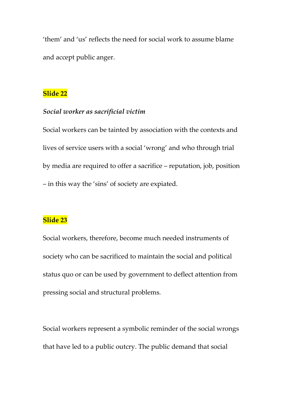'them' and 'us' reflects the need for social work to assume blame and accept public anger.

## **Slide 22**

#### *Social worker as sacrificial victim*

Social workers can be tainted by association with the contexts and lives of service users with a social 'wrong' and who through trial by media are required to offer a sacrifice – reputation, job, position – in this way the 'sins' of society are expiated.

## **Slide 23**

Social workers, therefore, become much needed instruments of society who can be sacrificed to maintain the social and political status quo or can be used by government to deflect attention from pressing social and structural problems.

Social workers represent a symbolic reminder of the social wrongs that have led to a public outcry. The public demand that social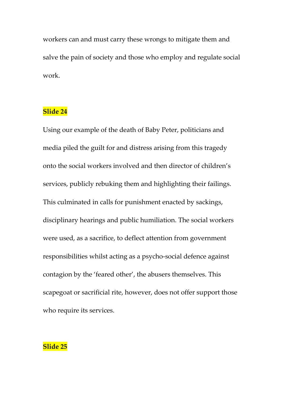workers can and must carry these wrongs to mitigate them and salve the pain of society and those who employ and regulate social work.

## **Slide 24**

Using our example of the death of Baby Peter, politicians and media piled the guilt for and distress arising from this tragedy onto the social workers involved and then director of children's services, publicly rebuking them and highlighting their failings. This culminated in calls for punishment enacted by sackings, disciplinary hearings and public humiliation. The social workers were used, as a sacrifice, to deflect attention from government responsibilities whilst acting as a psycho-social defence against contagion by the 'feared other', the abusers themselves. This scapegoat or sacrificial rite, however, does not offer support those who require its services.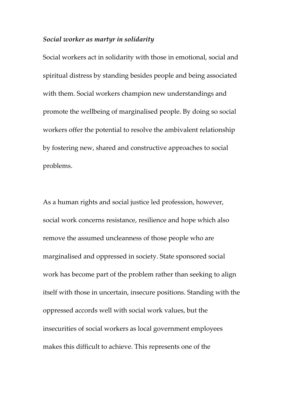#### *Social worker as martyr in solidarity*

Social workers act in solidarity with those in emotional, social and spiritual distress by standing besides people and being associated with them. Social workers champion new understandings and promote the wellbeing of marginalised people. By doing so social workers offer the potential to resolve the ambivalent relationship by fostering new, shared and constructive approaches to social problems.

As a human rights and social justice led profession, however, social work concerns resistance, resilience and hope which also remove the assumed uncleanness of those people who are marginalised and oppressed in society. State sponsored social work has become part of the problem rather than seeking to align itself with those in uncertain, insecure positions. Standing with the oppressed accords well with social work values, but the insecurities of social workers as local government employees makes this difficult to achieve. This represents one of the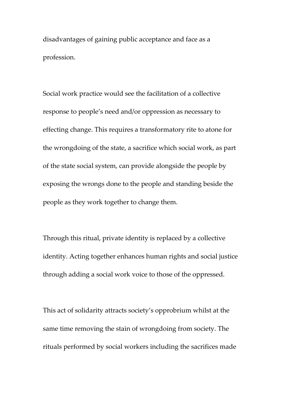disadvantages of gaining public acceptance and face as a profession.

Social work practice would see the facilitation of a collective response to people's need and/or oppression as necessary to effecting change. This requires a transformatory rite to atone for the wrongdoing of the state, a sacrifice which social work, as part of the state social system, can provide alongside the people by exposing the wrongs done to the people and standing beside the people as they work together to change them.

Through this ritual, private identity is replaced by a collective identity. Acting together enhances human rights and social justice through adding a social work voice to those of the oppressed.

This act of solidarity attracts society's opprobrium whilst at the same time removing the stain of wrongdoing from society. The rituals performed by social workers including the sacrifices made